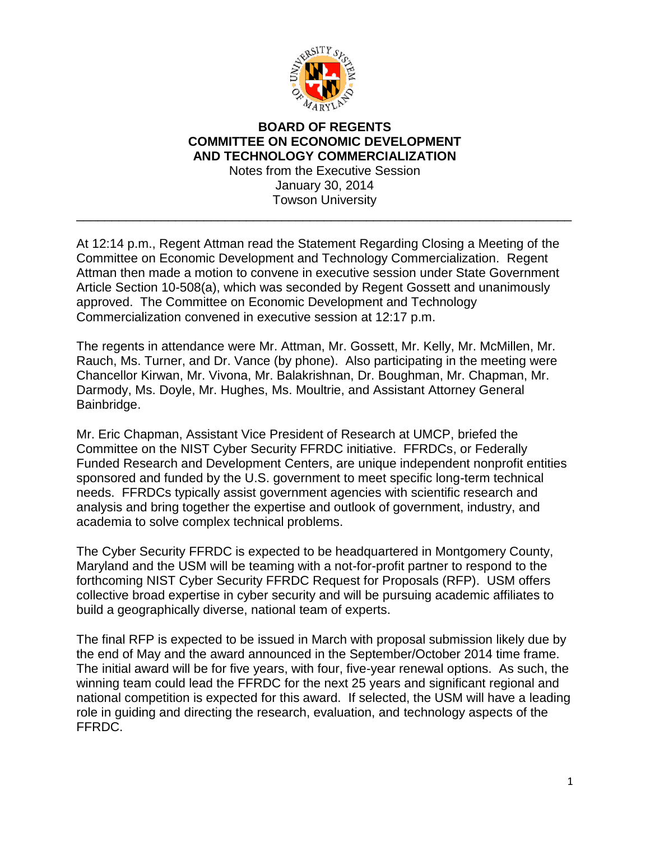

## **BOARD OF REGENTS COMMITTEE ON ECONOMIC DEVELOPMENT AND TECHNOLOGY COMMERCIALIZATION** Notes from the Executive Session January 30, 2014 Towson University

\_\_\_\_\_\_\_\_\_\_\_\_\_\_\_\_\_\_\_\_\_\_\_\_\_\_\_\_\_\_\_\_\_\_\_\_\_\_\_\_\_\_\_\_\_\_\_\_\_\_\_\_\_\_\_\_\_\_\_\_\_\_\_\_\_\_\_\_\_\_

At 12:14 p.m., Regent Attman read the Statement Regarding Closing a Meeting of the Committee on Economic Development and Technology Commercialization. Regent Attman then made a motion to convene in executive session under State Government Article Section 10-508(a), which was seconded by Regent Gossett and unanimously approved. The Committee on Economic Development and Technology Commercialization convened in executive session at 12:17 p.m.

The regents in attendance were Mr. Attman, Mr. Gossett, Mr. Kelly, Mr. McMillen, Mr. Rauch, Ms. Turner, and Dr. Vance (by phone). Also participating in the meeting were Chancellor Kirwan, Mr. Vivona, Mr. Balakrishnan, Dr. Boughman, Mr. Chapman, Mr. Darmody, Ms. Doyle, Mr. Hughes, Ms. Moultrie, and Assistant Attorney General Bainbridge.

Mr. Eric Chapman, Assistant Vice President of Research at UMCP, briefed the Committee on the NIST Cyber Security FFRDC initiative. FFRDCs, or Federally Funded Research and Development Centers, are unique independent nonprofit entities sponsored and funded by the U.S. government to meet specific long-term technical needs. FFRDCs typically assist government agencies with scientific research and analysis and bring together the expertise and outlook of government, industry, and academia to solve complex technical problems.

The Cyber Security FFRDC is expected to be headquartered in Montgomery County, Maryland and the USM will be teaming with a not-for-profit partner to respond to the forthcoming NIST Cyber Security FFRDC Request for Proposals (RFP). USM offers collective broad expertise in cyber security and will be pursuing academic affiliates to build a geographically diverse, national team of experts.

The final RFP is expected to be issued in March with proposal submission likely due by the end of May and the award announced in the September/October 2014 time frame. The initial award will be for five years, with four, five-year renewal options. As such, the winning team could lead the FFRDC for the next 25 years and significant regional and national competition is expected for this award. If selected, the USM will have a leading role in guiding and directing the research, evaluation, and technology aspects of the FFRDC.